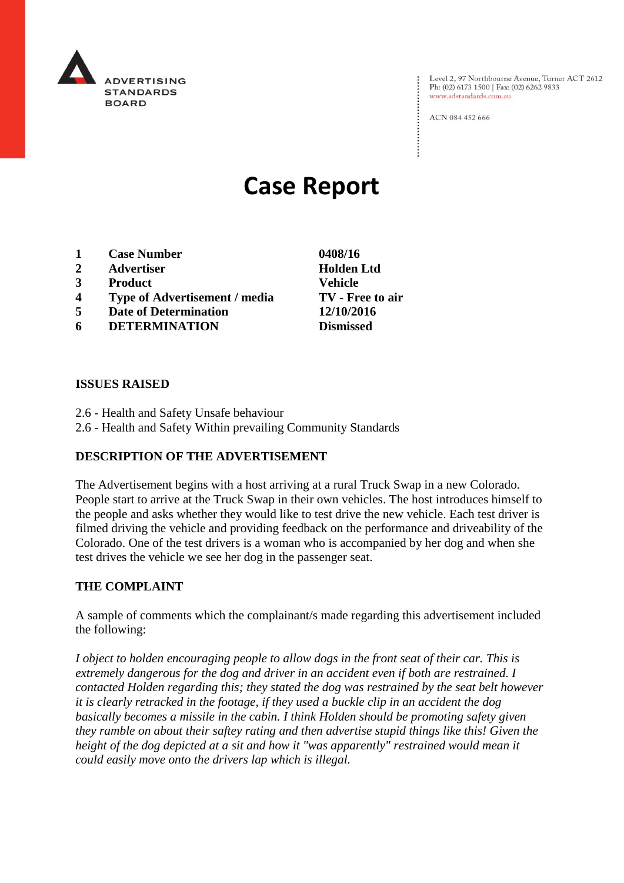

Level 2, 97 Northbourne Avenue, Turner ACT 2612 Ph: (02) 6173 1500 | Fax: (02) 6262 9833 www.adstandards.com.au

ACN 084 452 666

# **Case Report**

- **1 Case Number 0408/16**
- **2 Advertiser Holden Ltd**
- **3 Product Vehicle**
- **4 Type of Advertisement / media TV - Free to air**
- **5 Date of Determination 12/10/2016**
- **6 DETERMINATION Dismissed**

**ISSUES RAISED**

- 2.6 Health and Safety Unsafe behaviour
- 2.6 Health and Safety Within prevailing Community Standards

## **DESCRIPTION OF THE ADVERTISEMENT**

The Advertisement begins with a host arriving at a rural Truck Swap in a new Colorado. People start to arrive at the Truck Swap in their own vehicles. The host introduces himself to the people and asks whether they would like to test drive the new vehicle. Each test driver is filmed driving the vehicle and providing feedback on the performance and driveability of the Colorado. One of the test drivers is a woman who is accompanied by her dog and when she test drives the vehicle we see her dog in the passenger seat.

## **THE COMPLAINT**

A sample of comments which the complainant/s made regarding this advertisement included the following:

*I object to holden encouraging people to allow dogs in the front seat of their car. This is extremely dangerous for the dog and driver in an accident even if both are restrained. I contacted Holden regarding this; they stated the dog was restrained by the seat belt however it is clearly retracked in the footage, if they used a buckle clip in an accident the dog basically becomes a missile in the cabin. I think Holden should be promoting safety given they ramble on about their saftey rating and then advertise stupid things like this! Given the height of the dog depicted at a sit and how it "was apparently" restrained would mean it could easily move onto the drivers lap which is illegal.*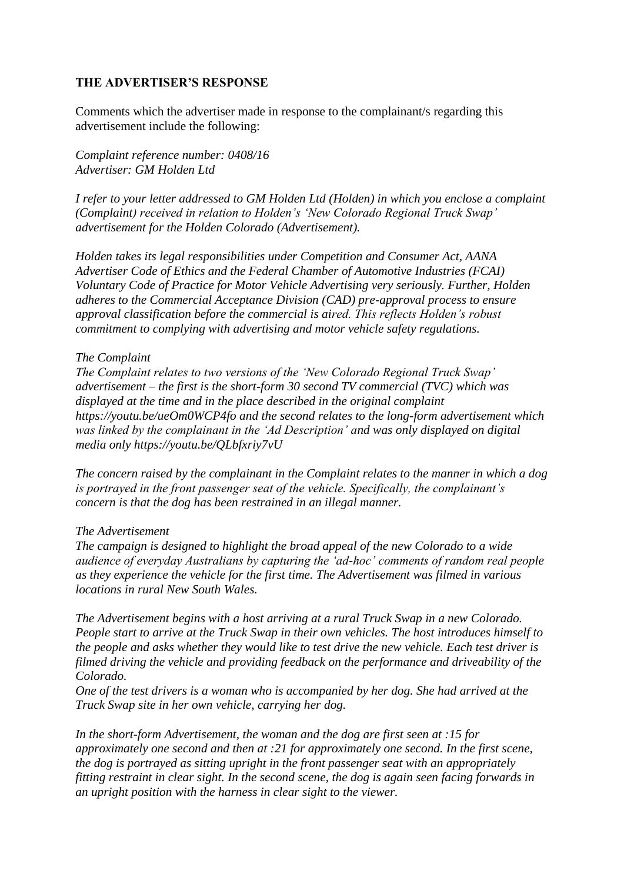## **THE ADVERTISER'S RESPONSE**

Comments which the advertiser made in response to the complainant/s regarding this advertisement include the following:

*Complaint reference number: 0408/16 Advertiser: GM Holden Ltd*

*I refer to your letter addressed to GM Holden Ltd (Holden) in which you enclose a complaint (Complaint) received in relation to Holden's 'New Colorado Regional Truck Swap' advertisement for the Holden Colorado (Advertisement).*

*Holden takes its legal responsibilities under Competition and Consumer Act, AANA Advertiser Code of Ethics and the Federal Chamber of Automotive Industries (FCAI) Voluntary Code of Practice for Motor Vehicle Advertising very seriously. Further, Holden adheres to the Commercial Acceptance Division (CAD) pre-approval process to ensure approval classification before the commercial is aired. This reflects Holden's robust commitment to complying with advertising and motor vehicle safety regulations.*

#### *The Complaint*

*The Complaint relates to two versions of the 'New Colorado Regional Truck Swap' advertisement – the first is the short-form 30 second TV commercial (TVC) which was displayed at the time and in the place described in the original complaint https://youtu.be/ueOm0WCP4fo and the second relates to the long-form advertisement which was linked by the complainant in the 'Ad Description' and was only displayed on digital media only https://youtu.be/QLbfxriy7vU*

*The concern raised by the complainant in the Complaint relates to the manner in which a dog is portrayed in the front passenger seat of the vehicle. Specifically, the complainant's concern is that the dog has been restrained in an illegal manner.*

#### *The Advertisement*

*The campaign is designed to highlight the broad appeal of the new Colorado to a wide audience of everyday Australians by capturing the 'ad-hoc' comments of random real people as they experience the vehicle for the first time. The Advertisement was filmed in various locations in rural New South Wales.*

*The Advertisement begins with a host arriving at a rural Truck Swap in a new Colorado. People start to arrive at the Truck Swap in their own vehicles. The host introduces himself to the people and asks whether they would like to test drive the new vehicle. Each test driver is filmed driving the vehicle and providing feedback on the performance and driveability of the Colorado.*

*One of the test drivers is a woman who is accompanied by her dog. She had arrived at the Truck Swap site in her own vehicle, carrying her dog.*

*In the short-form Advertisement, the woman and the dog are first seen at :15 for approximately one second and then at :21 for approximately one second. In the first scene, the dog is portrayed as sitting upright in the front passenger seat with an appropriately fitting restraint in clear sight. In the second scene, the dog is again seen facing forwards in an upright position with the harness in clear sight to the viewer.*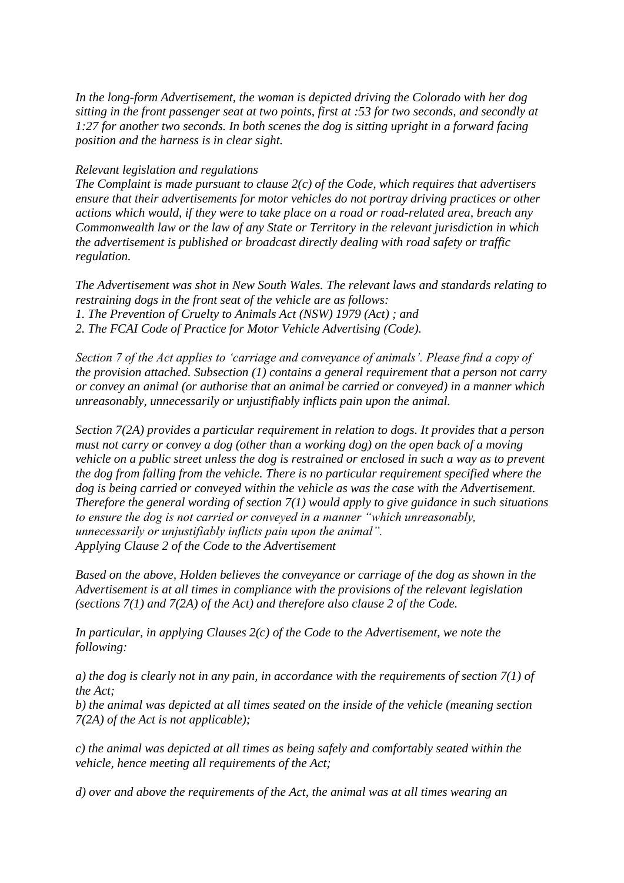*In the long-form Advertisement, the woman is depicted driving the Colorado with her dog sitting in the front passenger seat at two points, first at :53 for two seconds, and secondly at 1:27 for another two seconds. In both scenes the dog is sitting upright in a forward facing position and the harness is in clear sight.*

## *Relevant legislation and regulations*

*The Complaint is made pursuant to clause 2(c) of the Code, which requires that advertisers ensure that their advertisements for motor vehicles do not portray driving practices or other actions which would, if they were to take place on a road or road-related area, breach any Commonwealth law or the law of any State or Territory in the relevant jurisdiction in which the advertisement is published or broadcast directly dealing with road safety or traffic regulation.*

*The Advertisement was shot in New South Wales. The relevant laws and standards relating to restraining dogs in the front seat of the vehicle are as follows: 1. The Prevention of Cruelty to Animals Act (NSW) 1979 (Act) ; and 2. The FCAI Code of Practice for Motor Vehicle Advertising (Code).*

*Section 7 of the Act applies to 'carriage and conveyance of animals'. Please find a copy of the provision attached. Subsection (1) contains a general requirement that a person not carry or convey an animal (or authorise that an animal be carried or conveyed) in a manner which unreasonably, unnecessarily or unjustifiably inflicts pain upon the animal.*

*Section 7(2A) provides a particular requirement in relation to dogs. It provides that a person must not carry or convey a dog (other than a working dog) on the open back of a moving vehicle on a public street unless the dog is restrained or enclosed in such a way as to prevent the dog from falling from the vehicle. There is no particular requirement specified where the dog is being carried or conveyed within the vehicle as was the case with the Advertisement. Therefore the general wording of section 7(1) would apply to give guidance in such situations to ensure the dog is not carried or conveyed in a manner "which unreasonably, unnecessarily or unjustifiably inflicts pain upon the animal". Applying Clause 2 of the Code to the Advertisement*

*Based on the above, Holden believes the conveyance or carriage of the dog as shown in the Advertisement is at all times in compliance with the provisions of the relevant legislation (sections 7(1) and 7(2A) of the Act) and therefore also clause 2 of the Code.*

*In particular, in applying Clauses 2(c) of the Code to the Advertisement, we note the following:*

*a) the dog is clearly not in any pain, in accordance with the requirements of section 7(1) of the Act;*

*b) the animal was depicted at all times seated on the inside of the vehicle (meaning section 7(2A) of the Act is not applicable);*

*c) the animal was depicted at all times as being safely and comfortably seated within the vehicle, hence meeting all requirements of the Act;*

*d) over and above the requirements of the Act, the animal was at all times wearing an*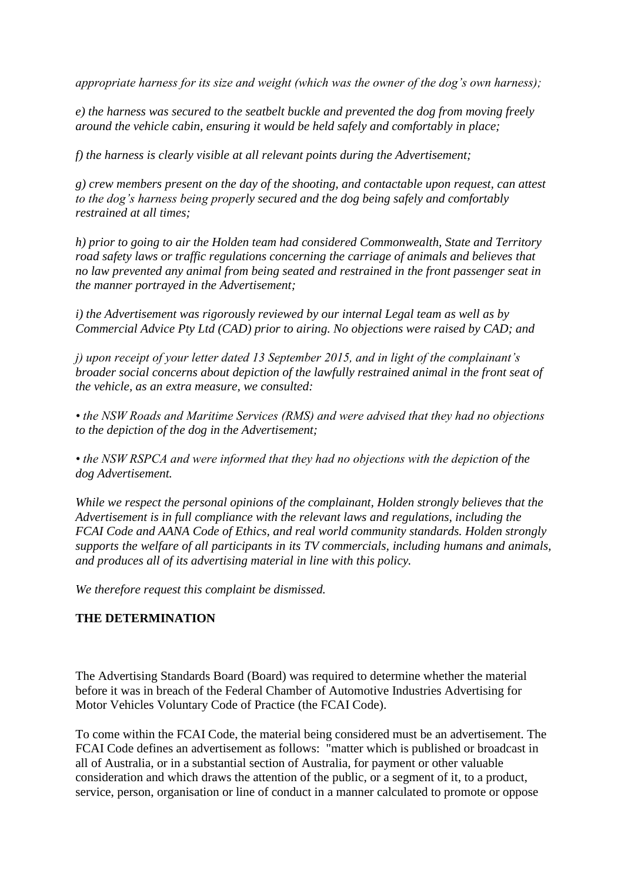*appropriate harness for its size and weight (which was the owner of the dog's own harness);*

*e) the harness was secured to the seatbelt buckle and prevented the dog from moving freely around the vehicle cabin, ensuring it would be held safely and comfortably in place;*

*f) the harness is clearly visible at all relevant points during the Advertisement;*

*g) crew members present on the day of the shooting, and contactable upon request, can attest to the dog's harness being properly secured and the dog being safely and comfortably restrained at all times;*

*h) prior to going to air the Holden team had considered Commonwealth, State and Territory road safety laws or traffic regulations concerning the carriage of animals and believes that no law prevented any animal from being seated and restrained in the front passenger seat in the manner portrayed in the Advertisement;*

*i) the Advertisement was rigorously reviewed by our internal Legal team as well as by Commercial Advice Pty Ltd (CAD) prior to airing. No objections were raised by CAD; and*

*j) upon receipt of your letter dated 13 September 2015, and in light of the complainant's broader social concerns about depiction of the lawfully restrained animal in the front seat of the vehicle, as an extra measure, we consulted:*

*• the NSW Roads and Maritime Services (RMS) and were advised that they had no objections to the depiction of the dog in the Advertisement;*

*• the NSW RSPCA and were informed that they had no objections with the depiction of the dog Advertisement.*

*While we respect the personal opinions of the complainant, Holden strongly believes that the Advertisement is in full compliance with the relevant laws and regulations, including the FCAI Code and AANA Code of Ethics, and real world community standards. Holden strongly supports the welfare of all participants in its TV commercials, including humans and animals, and produces all of its advertising material in line with this policy.*

*We therefore request this complaint be dismissed.*

## **THE DETERMINATION**

The Advertising Standards Board (Board) was required to determine whether the material before it was in breach of the Federal Chamber of Automotive Industries Advertising for Motor Vehicles Voluntary Code of Practice (the FCAI Code).

To come within the FCAI Code, the material being considered must be an advertisement. The FCAI Code defines an advertisement as follows: "matter which is published or broadcast in all of Australia, or in a substantial section of Australia, for payment or other valuable consideration and which draws the attention of the public, or a segment of it, to a product, service, person, organisation or line of conduct in a manner calculated to promote or oppose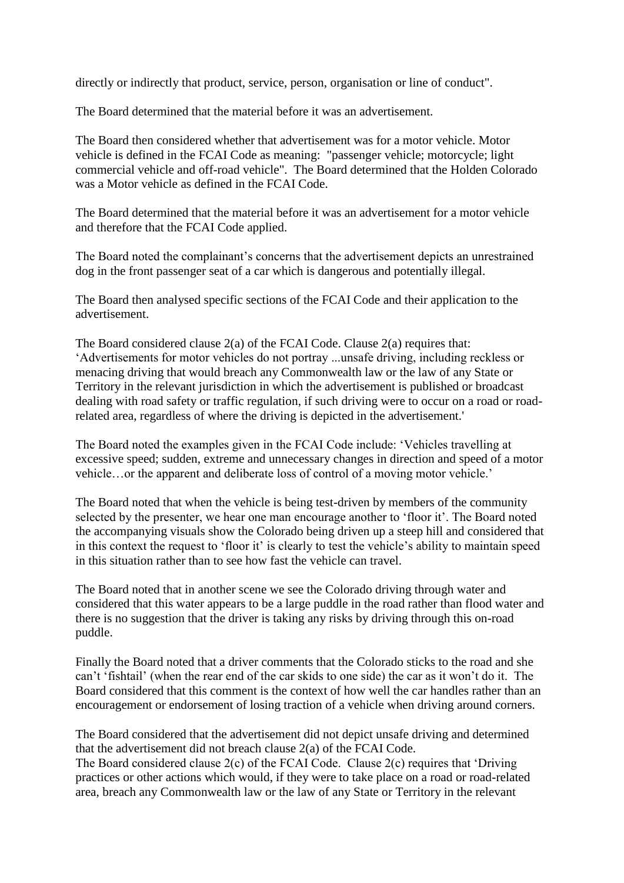directly or indirectly that product, service, person, organisation or line of conduct".

The Board determined that the material before it was an advertisement.

The Board then considered whether that advertisement was for a motor vehicle. Motor vehicle is defined in the FCAI Code as meaning: "passenger vehicle; motorcycle; light commercial vehicle and off-road vehicle". The Board determined that the Holden Colorado was a Motor vehicle as defined in the FCAI Code.

The Board determined that the material before it was an advertisement for a motor vehicle and therefore that the FCAI Code applied.

The Board noted the complainant's concerns that the advertisement depicts an unrestrained dog in the front passenger seat of a car which is dangerous and potentially illegal.

The Board then analysed specific sections of the FCAI Code and their application to the advertisement.

The Board considered clause 2(a) of the FCAI Code. Clause 2(a) requires that: 'Advertisements for motor vehicles do not portray ...unsafe driving, including reckless or menacing driving that would breach any Commonwealth law or the law of any State or Territory in the relevant jurisdiction in which the advertisement is published or broadcast dealing with road safety or traffic regulation, if such driving were to occur on a road or roadrelated area, regardless of where the driving is depicted in the advertisement.'

The Board noted the examples given in the FCAI Code include: 'Vehicles travelling at excessive speed; sudden, extreme and unnecessary changes in direction and speed of a motor vehicle…or the apparent and deliberate loss of control of a moving motor vehicle.'

The Board noted that when the vehicle is being test-driven by members of the community selected by the presenter, we hear one man encourage another to 'floor it'. The Board noted the accompanying visuals show the Colorado being driven up a steep hill and considered that in this context the request to 'floor it' is clearly to test the vehicle's ability to maintain speed in this situation rather than to see how fast the vehicle can travel.

The Board noted that in another scene we see the Colorado driving through water and considered that this water appears to be a large puddle in the road rather than flood water and there is no suggestion that the driver is taking any risks by driving through this on-road puddle.

Finally the Board noted that a driver comments that the Colorado sticks to the road and she can't 'fishtail' (when the rear end of the car skids to one side) the car as it won't do it. The Board considered that this comment is the context of how well the car handles rather than an encouragement or endorsement of losing traction of a vehicle when driving around corners.

The Board considered that the advertisement did not depict unsafe driving and determined that the advertisement did not breach clause 2(a) of the FCAI Code.

The Board considered clause 2(c) of the FCAI Code. Clause 2(c) requires that 'Driving practices or other actions which would, if they were to take place on a road or road-related area, breach any Commonwealth law or the law of any State or Territory in the relevant